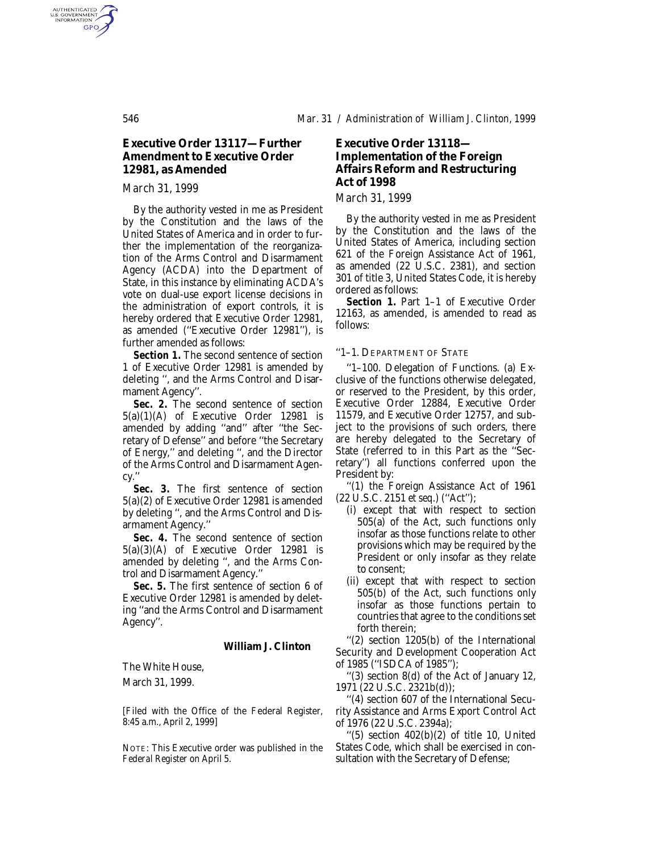## **Executive Order 13117—Further Amendment to Executive Order 12981, as Amended**

## *March 31, 1999*

By the authority vested in me as President by the Constitution and the laws of the United States of America and in order to further the implementation of the reorganization of the Arms Control and Disarmament Agency (ACDA) into the Department of State, in this instance by eliminating ACDA's vote on dual-use export license decisions in the administration of export controls, it is hereby ordered that Executive Order 12981, as amended (''Executive Order 12981''), is further amended as follows:

*Section 1.* The second sentence of section 1 of Executive Order 12981 is amended by deleting '', and the Arms Control and Disarmament Agency''.

**Sec. 2.** The second sentence of section 5(a)(1)(A) of Executive Order 12981 is amended by adding ''and'' after ''the Secretary of Defense'' and before ''the Secretary of Energy,'' and deleting '', and the Director of the Arms Control and Disarmament Agency.''

Sec. 3. The first sentence of section 5(a)(2) of Executive Order 12981 is amended by deleting '', and the Arms Control and Disarmament Agency.''

Sec. 4. The second sentence of section 5(a)(3)(A) of Executive Order 12981 is amended by deleting '', and the Arms Control and Disarmament Agency.''

*Sec. 5.* The first sentence of section 6 of Executive Order 12981 is amended by deleting ''and the Arms Control and Disarmament Agency''.

#### **William J. Clinton**

The White House,

March 31, 1999.

[Filed with the Office of the Federal Register, 8:45 a.m., April 2, 1999]

NOTE: This Executive order was published in the *Federal Register* on April 5.

# **Executive Order 13118— Implementation of the Foreign Affairs Reform and Restructuring Act of 1998**

*March 31, 1999*

By the authority vested in me as President by the Constitution and the laws of the United States of America, including section 621 of the Foreign Assistance Act of 1961, as amended (22 U.S.C. 2381), and section 301 of title 3, United States Code, it is hereby ordered as follows:

*Section 1.* Part 1–1 of Executive Order 12163, as amended, is amended to read as follows:

#### ''1–1. DEPARTMENT OF STATE

''1–100. Delegation of Functions. (a) Exclusive of the functions otherwise delegated, or reserved to the President, by this order, Executive Order 12884, Executive Order 11579, and Executive Order 12757, and subject to the provisions of such orders, there are hereby delegated to the Secretary of State (referred to in this Part as the ''Secretary'') all functions conferred upon the President by:

''(1) the Foreign Assistance Act of 1961 (22 U.S.C. 2151 *et seq.*) (''Act'');

- (i) except that with respect to section  $505(a)$  of the Act, such functions only insofar as those functions relate to other provisions which may be required by the President or only insofar as they relate to consent;
- (ii) except that with respect to section 505(b) of the Act, such functions only insofar as those functions pertain to countries that agree to the conditions set forth therein;

''(2) section 1205(b) of the International Security and Development Cooperation Act of 1985 (''ISDCA of 1985'');

''(3) section 8(d) of the Act of January 12, 1971 (22 U.S.C. 2321b(d));

''(4) section 607 of the International Security Assistance and Arms Export Control Act of 1976 (22 U.S.C. 2394a);

 $(5)$  section  $402(b)(2)$  of title 10, United States Code, which shall be exercised in consultation with the Secretary of Defense;

AUTHENTICATED<br>U.S. GOVERNMENT<br>INFORMATION **GPO**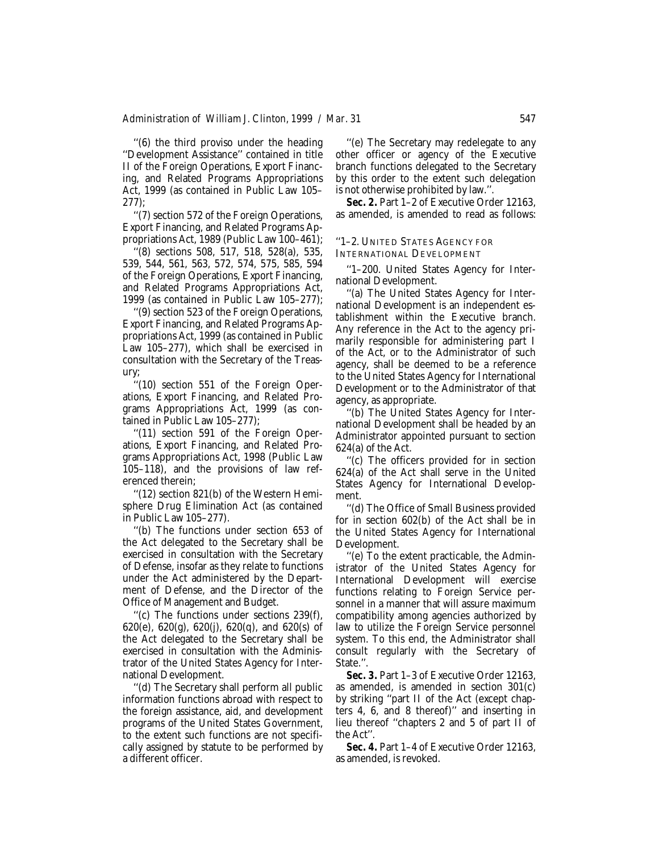''(6) the third proviso under the heading ''Development Assistance'' contained in title II of the Foreign Operations, Export Financing, and Related Programs Appropriations Act, 1999 (as contained in Public Law 105– 277);

''(7) section 572 of the Foreign Operations, Export Financing, and Related Programs Appropriations Act, 1989 (Public Law 100–461);

''(8) sections 508, 517, 518, 528(a), 535, 539, 544, 561, 563, 572, 574, 575, 585, 594 of the Foreign Operations, Export Financing, and Related Programs Appropriations Act, 1999 (as contained in Public Law 105–277);

''(9) section 523 of the Foreign Operations, Export Financing, and Related Programs Appropriations Act, 1999 (as contained in Public Law 105–277), which shall be exercised in consultation with the Secretary of the Treasury;

''(10) section 551 of the Foreign Operations, Export Financing, and Related Programs Appropriations Act, 1999 (as contained in Public Law 105–277);

''(11) section 591 of the Foreign Operations, Export Financing, and Related Programs Appropriations Act, 1998 (Public Law 105–118), and the provisions of law referenced therein;

''(12) section 821(b) of the Western Hemisphere Drug Elimination Act (as contained in Public Law 105–277).

''(b) The functions under section 653 of the Act delegated to the Secretary shall be exercised in consultation with the Secretary of Defense, insofar as they relate to functions under the Act administered by the Department of Defense, and the Director of the Office of Management and Budget.

''(c) The functions under sections 239(f), 620(e), 620(g), 620(j), 620(q), and 620(s) of the Act delegated to the Secretary shall be exercised in consultation with the Administrator of the United States Agency for International Development.

''(d) The Secretary shall perform all public information functions abroad with respect to the foreign assistance, aid, and development programs of the United States Government, to the extent such functions are not specifically assigned by statute to be performed by a different officer.

''(e) The Secretary may redelegate to any other officer or agency of the Executive branch functions delegated to the Secretary by this order to the extent such delegation is not otherwise prohibited by law.''.

**Sec. 2.** Part 1–2 of Executive Order 12163, as amended, is amended to read as follows:

### ''1–2. UNITED STATES AGENCY FOR INTERNATIONAL DEVELOPMENT

''1–200. United States Agency for International Development.

''(a) The United States Agency for International Development is an independent establishment within the Executive branch. Any reference in the Act to the agency primarily responsible for administering part I of the Act, or to the Administrator of such agency, shall be deemed to be a reference to the United States Agency for International Development or to the Administrator of that agency, as appropriate.

''(b) The United States Agency for International Development shall be headed by an Administrator appointed pursuant to section 624(a) of the Act.

''(c) The officers provided for in section 624(a) of the Act shall serve in the United States Agency for International Development.

''(d) The Office of Small Business provided for in section 602(b) of the Act shall be in the United States Agency for International Development.

''(e) To the extent practicable, the Administrator of the United States Agency for International Development will exercise functions relating to Foreign Service personnel in a manner that will assure maximum compatibility among agencies authorized by law to utilize the Foreign Service personnel system. To this end, the Administrator shall consult regularly with the Secretary of State.''.

*Sec. 3.* Part 1–3 of Executive Order 12163, as amended, is amended in section 301(c) by striking ''part II of the Act (except chapters 4, 6, and 8 thereof)'' and inserting in lieu thereof ''chapters 2 and 5 of part II of the Act''.

*Sec. 4.* Part 1–4 of Executive Order 12163, as amended, is revoked.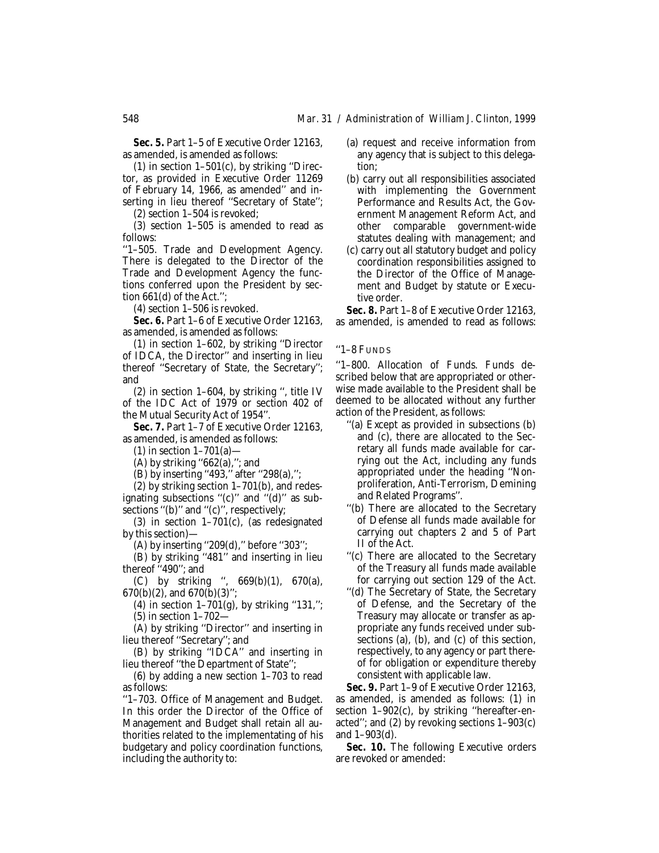*Sec. 5.* Part 1–5 of Executive Order 12163, as amended, is amended as follows:

 $(1)$  in section  $1-501(c)$ , by striking "Director, as provided in Executive Order 11269 of February 14, 1966, as amended'' and inserting in lieu thereof ''Secretary of State'';

(2) section 1–504 is revoked;

(3) section 1–505 is amended to read as follows:

''1–505. Trade and Development Agency. There is delegated to the Director of the Trade and Development Agency the functions conferred upon the President by section 661(d) of the Act.'';

(4) section 1–506 is revoked.

**Sec. 6.** Part 1–6 of Executive Order 12163, as amended, is amended as follows:

(1) in section 1–602, by striking ''Director of IDCA, the Director'' and inserting in lieu thereof ''Secretary of State, the Secretary''; and

(2) in section 1–604, by striking '', title IV of the IDC Act of 1979 or section 402 of the Mutual Security Act of 1954''.

**Sec. 7. Part 1-7 of Executive Order 12163,** as amended, is amended as follows:

(1) in section  $1-701(a)$ —

(A) by striking " $662(a)$ ,"; and

(B) by inserting "493," after "298(a),";

(2) by striking section 1–701(b), and redesignating subsections "(c)" and "(d)" as subsections "(b)" and "(c)", respectively;

(3) in section 1–701(c), (as redesignated by this section)—

(A) by inserting ''209(d),'' before ''303'';

(B) by striking ''481'' and inserting in lieu thereof ''490''; and

(C) by striking ",  $669(b)(1)$ ,  $670(a)$ , 670(b)(2), and 670(b)(3)'';

(4) in section  $1-701(g)$ , by striking "131,"; (5) in section 1–702—

(A) by striking ''Director'' and inserting in lieu thereof ''Secretary''; and

(B) by striking ''IDCA'' and inserting in lieu thereof ''the Department of State'';

(6) by adding a new section 1–703 to read as follows:

''1–703. Office of Management and Budget. In this order the Director of the Office of Management and Budget shall retain all authorities related to the implementating of his budgetary and policy coordination functions, including the authority to:

- (a) request and receive information from any agency that is subject to this delegation;
- (b) carry out all responsibilities associated with implementing the Government Performance and Results Act, the Government Management Reform Act, and other comparable government-wide statutes dealing with management; and
- (c) carry out all statutory budget and policy coordination responsibilities assigned to the Director of the Office of Management and Budget by statute or Executive order.

*Sec. 8.* Part 1–8 of Executive Order 12163, as amended, is amended to read as follows:

''1–8 FUNDS

''1–800. Allocation of Funds. Funds described below that are appropriated or otherwise made available to the President shall be deemed to be allocated without any further action of the President, as follows:

- ''(a) Except as provided in subsections (b) and (c), there are allocated to the Secretary all funds made available for carrying out the Act, including any funds appropriated under the heading ''Nonproliferation, Anti-Terrorism, Demining and Related Programs''.
- ''(b) There are allocated to the Secretary of Defense all funds made available for carrying out chapters 2 and 5 of Part II of the Act.
- ''(c) There are allocated to the Secretary of the Treasury all funds made available for carrying out section 129 of the Act.
- ''(d) The Secretary of State, the Secretary of Defense, and the Secretary of the Treasury may allocate or transfer as appropriate any funds received under subsections (a), (b), and (c) of this section, respectively, to any agency or part thereof for obligation or expenditure thereby consistent with applicable law.

*Sec. 9.* Part 1–9 of Executive Order 12163, as amended, is amended as follows: (1) in section 1-902(c), by striking "hereafter-enacted''; and (2) by revoking sections 1–903(c) and 1–903(d).

**Sec. 10.** The following Executive orders are revoked or amended: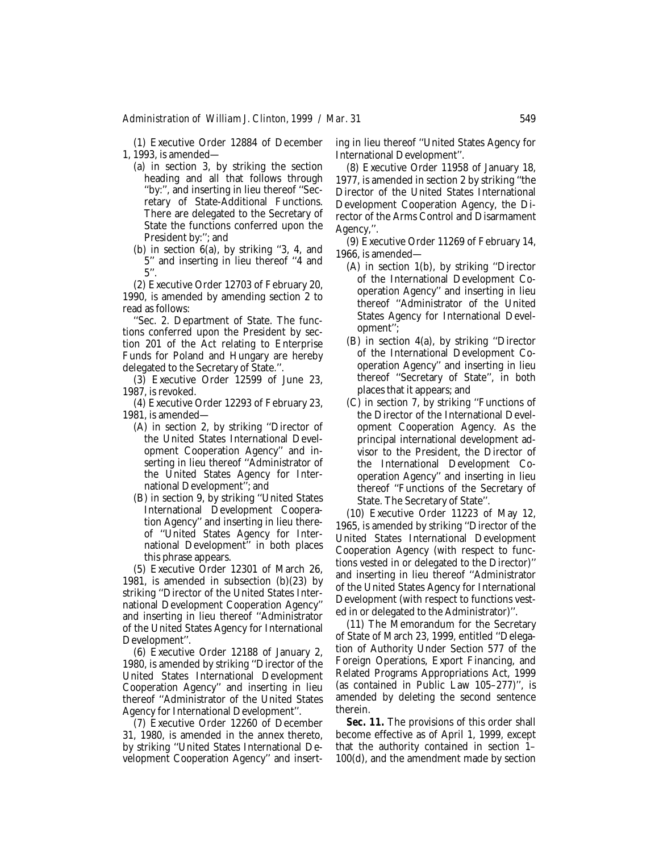(1) Executive Order 12884 of December 1, 1993, is amended—

- (a) in section 3, by striking the section heading and all that follows through ''by:'', and inserting in lieu thereof ''Secretary of State-Additional Functions. There are delegated to the Secretary of State the functions conferred upon the President by:''; and
- (b) in section 6(a), by striking ''3, 4, and 5'' and inserting in lieu thereof ''4 and 5''.

(2) Executive Order 12703 of February 20, 1990, is amended by amending section 2 to read as follows:

''Sec. 2. Department of State. The functions conferred upon the President by section 201 of the Act relating to Enterprise Funds for Poland and Hungary are hereby delegated to the Secretary of State.''.

(3) Executive Order 12599 of June 23, 1987, is revoked.

(4) Executive Order 12293 of February 23, 1981, is amended—

- (A) in section 2, by striking ''Director of the United States International Development Cooperation Agency'' and inserting in lieu thereof ''Administrator of the United States Agency for International Development''; and
- (B) in section 9, by striking ''United States International Development Cooperation Agency'' and inserting in lieu thereof ''United States Agency for International Development'' in both places this phrase appears.

(5) Executive Order 12301 of March 26, 1981, is amended in subsection  $(b)(23)$  by striking ''Director of the United States International Development Cooperation Agency'' and inserting in lieu thereof ''Administrator of the United States Agency for International Development''.

(6) Executive Order 12188 of January 2, 1980, is amended by striking ''Director of the United States International Development Cooperation Agency'' and inserting in lieu thereof ''Administrator of the United States Agency for International Development''.

(7) Executive Order 12260 of December 31, 1980, is amended in the annex thereto, by striking ''United States International Development Cooperation Agency'' and inserting in lieu thereof ''United States Agency for International Development''.

(8) Executive Order 11958 of January 18, 1977, is amended in section 2 by striking ''the Director of the United States International Development Cooperation Agency, the Director of the Arms Control and Disarmament Agency,''.

(9) Executive Order 11269 of February 14, 1966, is amended—

- (A) in section 1(b), by striking ''Director of the International Development Cooperation Agency'' and inserting in lieu thereof ''Administrator of the United States Agency for International Development'';
- (B) in section 4(a), by striking ''Director of the International Development Cooperation Agency'' and inserting in lieu thereof ''Secretary of State'', in both places that it appears; and
- (C) in section 7, by striking ''Functions of the Director of the International Development Cooperation Agency. As the principal international development advisor to the President, the Director of the International Development Cooperation Agency'' and inserting in lieu thereof ''Functions of the Secretary of State. The Secretary of State''.

(10) Executive Order 11223 of May 12, 1965, is amended by striking ''Director of the United States International Development Cooperation Agency (with respect to functions vested in or delegated to the Director)'' and inserting in lieu thereof ''Administrator of the United States Agency for International Development (with respect to functions vested in or delegated to the Administrator)''.

(11) The Memorandum for the Secretary of State of March 23, 1999, entitled ''Delegation of Authority Under Section 577 of the Foreign Operations, Export Financing, and Related Programs Appropriations Act, 1999 (as contained in Public Law 105–277)'', is amended by deleting the second sentence therein.

*Sec. 11.* The provisions of this order shall become effective as of April 1, 1999, except that the authority contained in section 1– 100(d), and the amendment made by section